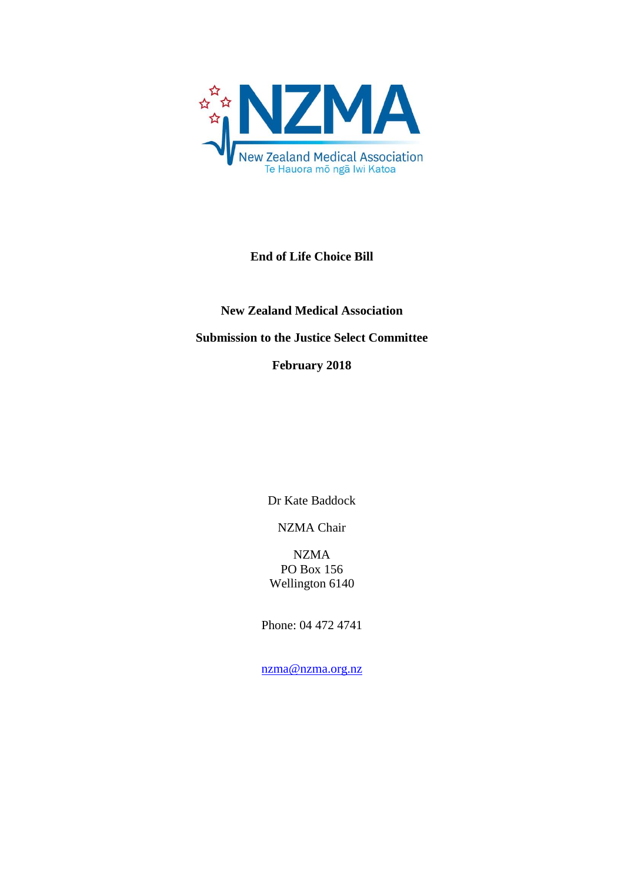

## **End of Life Choice Bill**

# **New Zealand Medical Association Submission to the Justice Select Committee February 2018**

Dr Kate Baddock

NZMA Chair

NZMA PO Box 156 Wellington 6140

Phone: 04 472 4741

[nzma@nzma.org.nz](mailto:nzma@nzma.org.nz)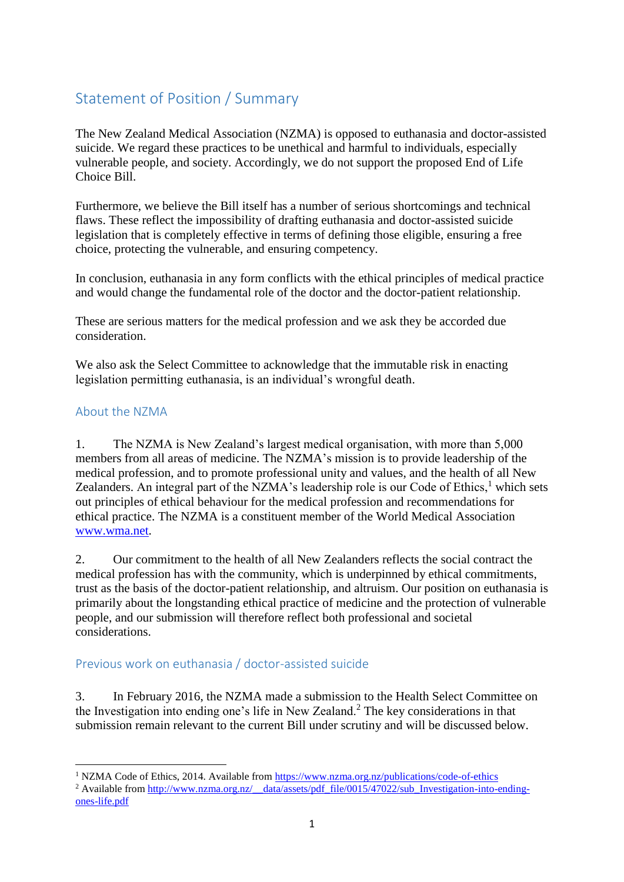## Statement of Position / Summary

The New Zealand Medical Association (NZMA) is opposed to euthanasia and doctor-assisted suicide. We regard these practices to be unethical and harmful to individuals, especially vulnerable people, and society. Accordingly, we do not support the proposed End of Life Choice Bill.

Furthermore, we believe the Bill itself has a number of serious shortcomings and technical flaws. These reflect the impossibility of drafting euthanasia and doctor-assisted suicide legislation that is completely effective in terms of defining those eligible, ensuring a free choice, protecting the vulnerable, and ensuring competency.

In conclusion, euthanasia in any form conflicts with the ethical principles of medical practice and would change the fundamental role of the doctor and the doctor-patient relationship.

These are serious matters for the medical profession and we ask they be accorded due consideration.

We also ask the Select Committee to acknowledge that the immutable risk in enacting legislation permitting euthanasia, is an individual's wrongful death.

## About the NZMA

 $\overline{a}$ 

1. The NZMA is New Zealand's largest medical organisation, with more than 5,000 members from all areas of medicine. The NZMA's mission is to provide leadership of the medical profession, and to promote professional unity and values, and the health of all New Zealanders. An integral part of the NZMA's leadership role is our Code of Ethics, $<sup>1</sup>$  which sets</sup> out principles of ethical behaviour for the medical profession and recommendations for ethical practice. The NZMA is a constituent member of the World Medical Association [www.wma.net.](http://www.wma.net/)

2. Our commitment to the health of all New Zealanders reflects the social contract the medical profession has with the community, which is underpinned by ethical commitments, trust as the basis of the doctor-patient relationship, and altruism. Our position on euthanasia is primarily about the longstanding ethical practice of medicine and the protection of vulnerable people, and our submission will therefore reflect both professional and societal considerations.

#### Previous work on euthanasia / doctor-assisted suicide

3. In February 2016, the NZMA made a submission to the Health Select Committee on the Investigation into ending one's life in New Zealand.<sup>2</sup> The key considerations in that submission remain relevant to the current Bill under scrutiny and will be discussed below.

<sup>1</sup> NZMA Code of Ethics, 2014. Available from<https://www.nzma.org.nz/publications/code-of-ethics> <sup>2</sup> Available from [http://www.nzma.org.nz/\\_\\_data/assets/pdf\\_file/0015/47022/sub\\_Investigation-into-ending](http://www.nzma.org.nz/__data/assets/pdf_file/0015/47022/sub_Investigation-into-ending-ones-life.pdf)[ones-life.pdf](http://www.nzma.org.nz/__data/assets/pdf_file/0015/47022/sub_Investigation-into-ending-ones-life.pdf)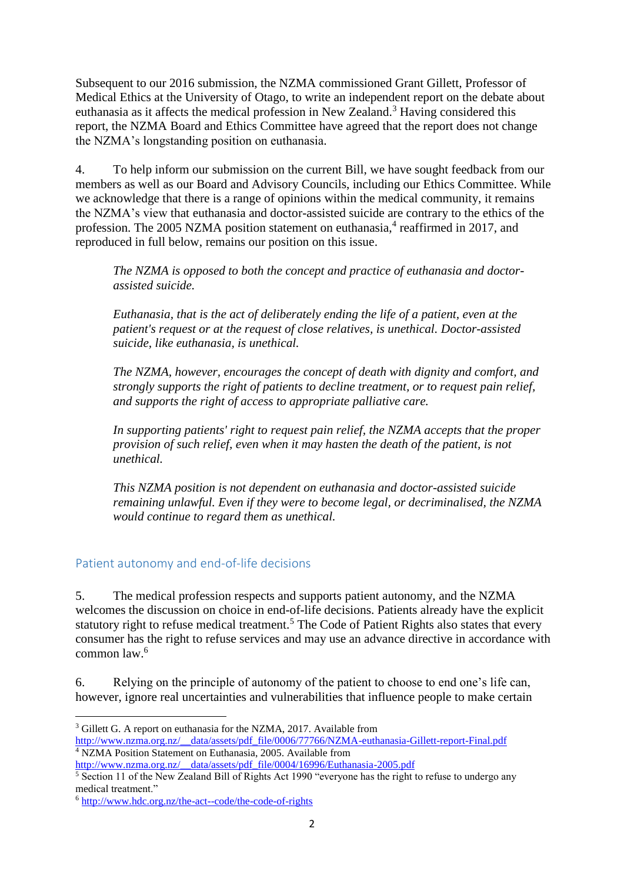Subsequent to our 2016 submission, the NZMA commissioned Grant Gillett, Professor of Medical Ethics at the University of Otago, to write an independent report on the debate about euthanasia as it affects the medical profession in New Zealand.<sup>3</sup> Having considered this report, the NZMA Board and Ethics Committee have agreed that the report does not change the NZMA's longstanding position on euthanasia.

4. To help inform our submission on the current Bill, we have sought feedback from our members as well as our Board and Advisory Councils, including our Ethics Committee. While we acknowledge that there is a range of opinions within the medical community, it remains the NZMA's view that euthanasia and doctor-assisted suicide are contrary to the ethics of the profession. The 2005 NZMA position statement on euthanasia,<sup>4</sup> reaffirmed in 2017, and reproduced in full below, remains our position on this issue.

*The NZMA is opposed to both the concept and practice of euthanasia and doctorassisted suicide.*

*Euthanasia, that is the act of deliberately ending the life of a patient, even at the patient's request or at the request of close relatives, is unethical. Doctor-assisted suicide, like euthanasia, is unethical.*

*The NZMA, however, encourages the concept of death with dignity and comfort, and strongly supports the right of patients to decline treatment, or to request pain relief, and supports the right of access to appropriate palliative care.* 

*In supporting patients' right to request pain relief, the NZMA accepts that the proper provision of such relief, even when it may hasten the death of the patient, is not unethical.* 

*This NZMA position is not dependent on euthanasia and doctor-assisted suicide remaining unlawful. Even if they were to become legal, or decriminalised, the NZMA would continue to regard them as unethical.* 

## Patient autonomy and end-of-life decisions

5. The medical profession respects and supports patient autonomy, and the NZMA welcomes the discussion on choice in end-of-life decisions. Patients already have the explicit statutory right to refuse medical treatment.<sup>5</sup> The Code of Patient Rights also states that every consumer has the right to refuse services and may use an advance directive in accordance with common law $6$ 

6. Relying on the principle of autonomy of the patient to choose to end one's life can, however, ignore real uncertainties and vulnerabilities that influence people to make certain

**.** 

<sup>&</sup>lt;sup>3</sup> Gillett G. A report on euthanasia for the NZMA, 2017. Available from [http://www.nzma.org.nz/\\_\\_data/assets/pdf\\_file/0006/77766/NZMA-euthanasia-Gillett-report-Final.pdf](http://www.nzma.org.nz/__data/assets/pdf_file/0006/77766/NZMA-euthanasia-Gillett-report-Final.pdf) <sup>4</sup> NZMA Position Statement on Euthanasia, 2005. Available from

[http://www.nzma.org.nz/\\_\\_data/assets/pdf\\_file/0004/16996/Euthanasia-2005.pdf](http://www.nzma.org.nz/__data/assets/pdf_file/0004/16996/Euthanasia-2005.pdf)

<sup>5</sup> Section 11 of the New Zealand Bill of Rights Act 1990 "everyone has the right to refuse to undergo any medical treatment."

<sup>6</sup> <http://www.hdc.org.nz/the-act--code/the-code-of-rights>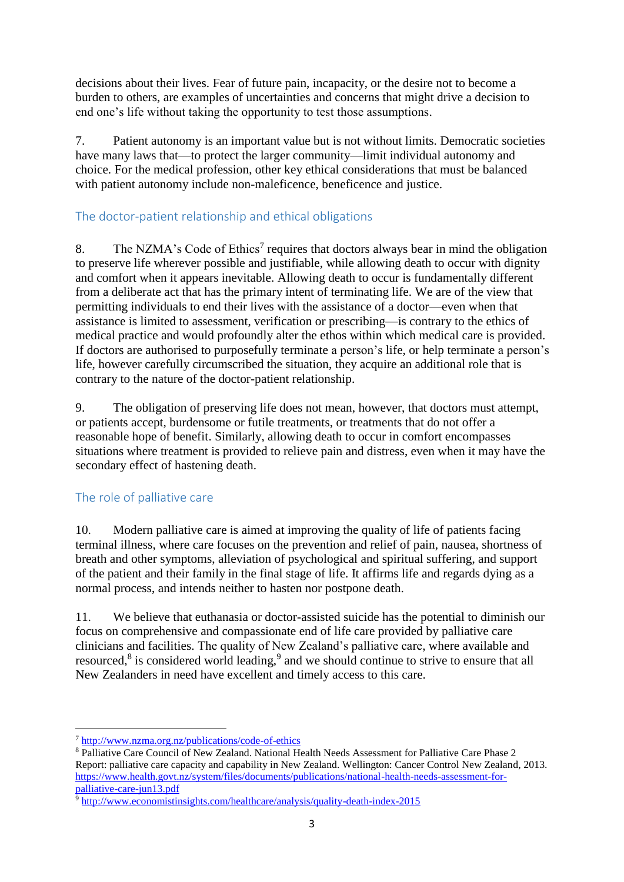decisions about their lives. Fear of future pain, incapacity, or the desire not to become a burden to others, are examples of uncertainties and concerns that might drive a decision to end one's life without taking the opportunity to test those assumptions.

7. Patient autonomy is an important value but is not without limits. Democratic societies have many laws that—to protect the larger community—limit individual autonomy and choice. For the medical profession, other key ethical considerations that must be balanced with patient autonomy include non-maleficence, beneficence and justice.

## The doctor-patient relationship and ethical obligations

8. The NZMA's Code of Ethics<sup>7</sup> requires that doctors always bear in mind the obligation to preserve life wherever possible and justifiable, while allowing death to occur with dignity and comfort when it appears inevitable. Allowing death to occur is fundamentally different from a deliberate act that has the primary intent of terminating life. We are of the view that permitting individuals to end their lives with the assistance of a doctor—even when that assistance is limited to assessment, verification or prescribing—is contrary to the ethics of medical practice and would profoundly alter the ethos within which medical care is provided. If doctors are authorised to purposefully terminate a person's life, or help terminate a person's life, however carefully circumscribed the situation, they acquire an additional role that is contrary to the nature of the doctor-patient relationship.

9. The obligation of preserving life does not mean, however, that doctors must attempt, or patients accept, burdensome or futile treatments, or treatments that do not offer a reasonable hope of benefit. Similarly, allowing death to occur in comfort encompasses situations where treatment is provided to relieve pain and distress, even when it may have the secondary effect of hastening death.

## The role of palliative care

10. Modern palliative care is aimed at improving the quality of life of patients facing terminal illness, where care focuses on the prevention and relief of pain, nausea, shortness of breath and other symptoms, alleviation of psychological and spiritual suffering, and support of the patient and their family in the final stage of life. It affirms life and regards dying as a normal process, and intends neither to hasten nor postpone death.

<span id="page-4-0"></span>11. We believe that euthanasia or doctor-assisted suicide has the potential to diminish our focus on comprehensive and compassionate end of life care provided by palliative care clinicians and facilities. The quality of New Zealand's palliative care, where available and resourced, $8$  is considered world leading, $9$  and we should continue to strive to ensure that all New Zealanders in need have excellent and timely access to this care.

**.** 

<sup>7</sup> <http://www.nzma.org.nz/publications/code-of-ethics>

<sup>8</sup> Palliative Care Council of New Zealand. National Health Needs Assessment for Palliative Care Phase 2 Report: palliative care capacity and capability in New Zealand. Wellington: Cancer Control New Zealand, 2013. [https://www.health.govt.nz/system/files/documents/publications/national-health-needs-assessment-for](https://www.health.govt.nz/system/files/documents/publications/national-health-needs-assessment-for-palliative-care-jun13.pdf)[palliative-care-jun13.pdf](https://www.health.govt.nz/system/files/documents/publications/national-health-needs-assessment-for-palliative-care-jun13.pdf)

 $\frac{1}{9}$  <http://www.economistinsights.com/healthcare/analysis/quality-death-index-2015>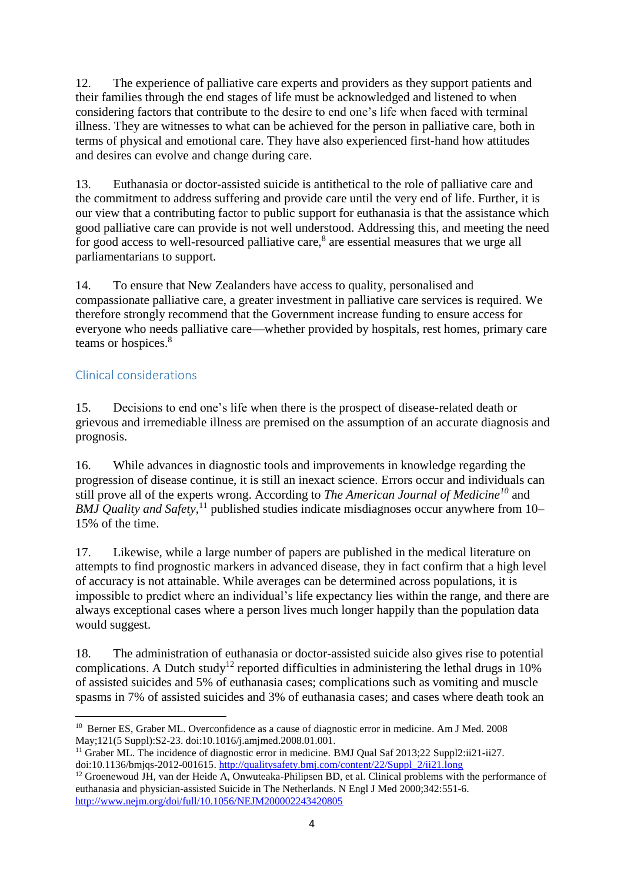12. The experience of palliative care experts and providers as they support patients and their families through the end stages of life must be acknowledged and listened to when considering factors that contribute to the desire to end one's life when faced with terminal illness. They are witnesses to what can be achieved for the person in palliative care, both in terms of physical and emotional care. They have also experienced first-hand how attitudes and desires can evolve and change during care.

13. Euthanasia or doctor-assisted suicide is antithetical to the role of palliative care and the commitment to address suffering and provide care until the very end of life. Further, it is our view that a contributing factor to public support for euthanasia is that the assistance which good palliative care can provide is not well understood. Addressing this, and meeting the need for good access to well-resourced palliative care,<sup>[8](#page-4-0)</sup> are essential measures that we urge all parliamentarians to support.

14. To ensure that New Zealanders have access to quality, personalised and compassionate palliative care, a greater investment in palliative care services is required. We therefore strongly recommend that the Government increase funding to ensure access for everyone who needs palliative care—whether provided by hospitals, rest homes, primary care teams or hospices.<sup>[8](#page-4-0)</sup>

## Clinical considerations

15. Decisions to end one's life when there is the prospect of disease-related death or grievous and irremediable illness are premised on the assumption of an accurate diagnosis and prognosis.

16. While advances in diagnostic tools and improvements in knowledge regarding the progression of disease continue, it is still an inexact science. Errors occur and individuals can still prove all of the experts wrong. According to *The American Journal of Medicine<sup>10</sup>* and *BMJ Quality and Safety*,<sup>11</sup> published studies indicate misdiagnoses occur anywhere from 10– 15% of the time.

17. Likewise, while a large number of papers are published in the medical literature on attempts to find prognostic markers in advanced disease, they in fact confirm that a high level of accuracy is not attainable. While averages can be determined across populations, it is impossible to predict where an individual's life expectancy lies within the range, and there are always exceptional cases where a person lives much longer happily than the population data would suggest.

18. The administration of euthanasia or doctor-assisted suicide also gives rise to potential complications. A Dutch study<sup>12</sup> reported difficulties in administering the lethal drugs in 10% of assisted suicides and 5% of euthanasia cases; complications such as vomiting and muscle spasms in 7% of assisted suicides and 3% of euthanasia cases; and cases where death took an

**<sup>.</sup>** <sup>10</sup> Berner ES, Graber ML. Overconfidence as a cause of diagnostic error in medicine. Am J Med. 2008 May;121(5 Suppl):S2-23. doi:10.1016/j.amjmed.2008.01.001.

<sup>&</sup>lt;sup>11</sup> Graber ML. The incidence of diagnostic error in medicine. BMJ Qual Saf 2013;22 Suppl2:ii21-ii27. doi:10.1136/bmjqs-2012-001615. [http://qualitysafety.bmj.com/content/22/Suppl\\_2/ii21.long](http://qualitysafety.bmj.com/content/22/Suppl_2/ii21.long)

<sup>&</sup>lt;sup>12</sup> Groenewoud JH, van der Heide A, Onwuteaka-Philipsen BD, et al. Clinical problems with the performance of euthanasia and physician-assisted Suicide in The Netherlands. N Engl J Med 2000;342:551-6. <http://www.nejm.org/doi/full/10.1056/NEJM200002243420805>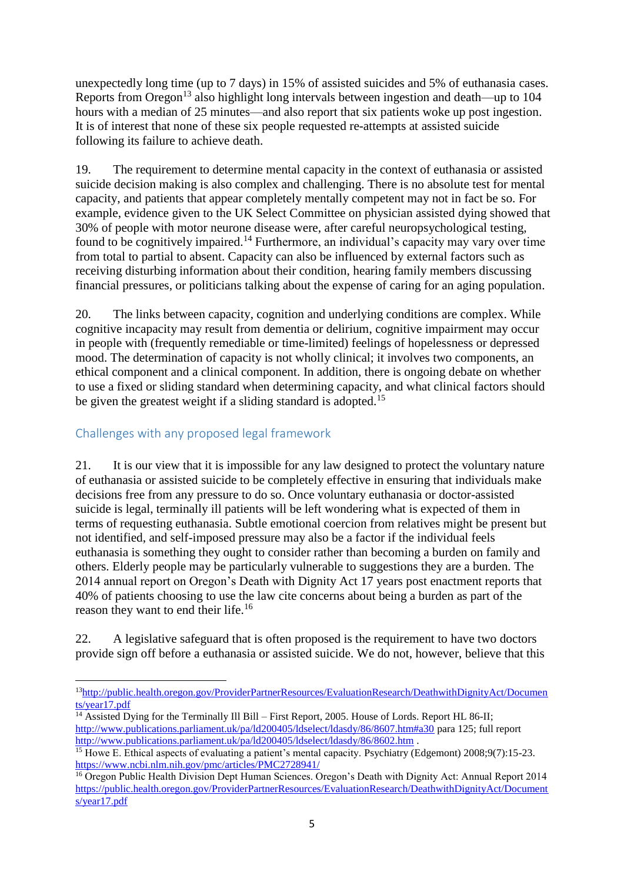unexpectedly long time (up to 7 days) in 15% of assisted suicides and 5% of euthanasia cases. Reports from Oregon<sup>13</sup> also highlight long intervals between ingestion and death—up to  $104$ hours with a median of 25 minutes—and also report that six patients woke up post ingestion. It is of interest that none of these six people requested re-attempts at assisted suicide following its failure to achieve death.

19. The requirement to determine mental capacity in the context of euthanasia or assisted suicide decision making is also complex and challenging. There is no absolute test for mental capacity, and patients that appear completely mentally competent may not in fact be so. For example, evidence given to the UK Select Committee on physician assisted dying showed that 30% of people with motor neurone disease were, after careful neuropsychological testing, found to be cognitively impaired.<sup>14</sup> Furthermore, an individual's capacity may vary over time from total to partial to absent. Capacity can also be influenced by external factors such as receiving disturbing information about their condition, hearing family members discussing financial pressures, or politicians talking about the expense of caring for an aging population.

20. The links between capacity, cognition and underlying conditions are complex. While cognitive incapacity may result from dementia or delirium, cognitive impairment may occur in people with (frequently remediable or time-limited) feelings of hopelessness or depressed mood. The determination of capacity is not wholly clinical; it involves two components, an ethical component and a clinical component. In addition, there is ongoing debate on whether to use a fixed or sliding standard when determining capacity, and what clinical factors should be given the greatest weight if a sliding standard is adopted.<sup>15</sup>

## Challenges with any proposed legal framework

**.** 

21. It is our view that it is impossible for any law designed to protect the voluntary nature of euthanasia or assisted suicide to be completely effective in ensuring that individuals make decisions free from any pressure to do so. Once voluntary euthanasia or doctor-assisted suicide is legal, terminally ill patients will be left wondering what is expected of them in terms of requesting euthanasia. Subtle emotional coercion from relatives might be present but not identified, and self-imposed pressure may also be a factor if the individual feels euthanasia is something they ought to consider rather than becoming a burden on family and others. Elderly people may be particularly vulnerable to suggestions they are a burden. The 2014 annual report on Oregon's Death with Dignity Act 17 years post enactment reports that 40% of patients choosing to use the law cite concerns about being a burden as part of the reason they want to end their life.<sup>16</sup>

22. A legislative safeguard that is often proposed is the requirement to have two doctors provide sign off before a euthanasia or assisted suicide. We do not, however, believe that this

<sup>13</sup>[http://public.health.oregon.gov/ProviderPartnerResources/EvaluationResearch/DeathwithDignityAct/Documen](http://public.health.oregon.gov/ProviderPartnerResources/EvaluationResearch/DeathwithDignityAct/Documents/year17.pdf) [ts/year17.pdf](http://public.health.oregon.gov/ProviderPartnerResources/EvaluationResearch/DeathwithDignityAct/Documents/year17.pdf)

 $\overline{^{14}}$  Assisted Dying for the Terminally Ill Bill – First Report, 2005. House of Lords. Report HL 86-II; <http://www.publications.parliament.uk/pa/ld200405/ldselect/ldasdy/86/8607.htm#a30> para 125; full report <http://www.publications.parliament.uk/pa/ld200405/ldselect/ldasdy/86/8602.htm> .

<sup>&</sup>lt;sup>15</sup> Howe E. Ethical aspects of evaluating a patient's mental capacity. Psychiatry (Edgemont) 2008;9(7):15-23. <https://www.ncbi.nlm.nih.gov/pmc/articles/PMC2728941/>

<sup>&</sup>lt;sup>16</sup> Oregon Public Health Division Dept Human Sciences. Oregon's Death with Dignity Act: Annual Report 2014 [https://public.health.oregon.gov/ProviderPartnerResources/EvaluationResearch/DeathwithDignityAct/Document](https://public.health.oregon.gov/ProviderPartnerResources/EvaluationResearch/DeathwithDignityAct/Documents/year17.pdf) [s/year17.pdf](https://public.health.oregon.gov/ProviderPartnerResources/EvaluationResearch/DeathwithDignityAct/Documents/year17.pdf)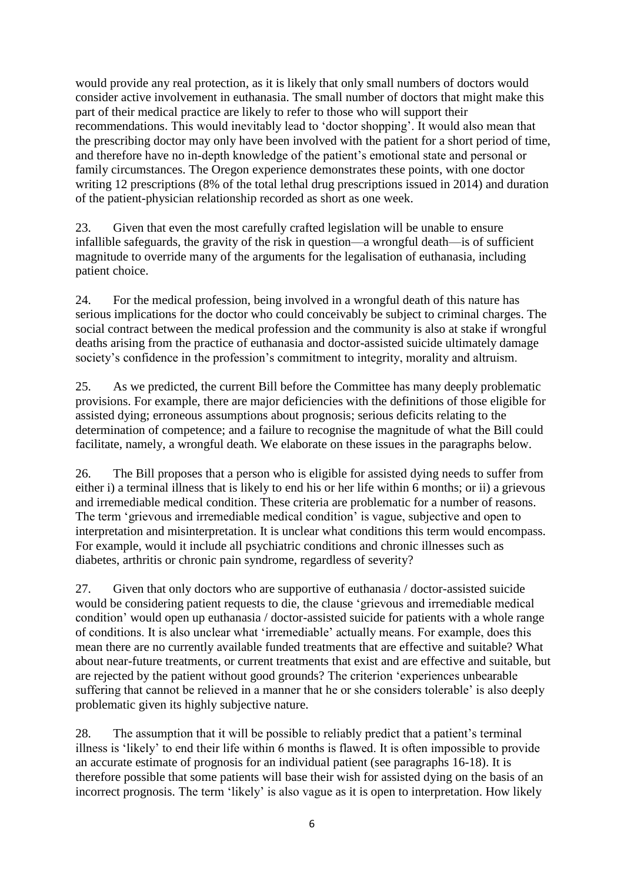would provide any real protection, as it is likely that only small numbers of doctors would consider active involvement in euthanasia. The small number of doctors that might make this part of their medical practice are likely to refer to those who will support their recommendations. This would inevitably lead to 'doctor shopping'. It would also mean that the prescribing doctor may only have been involved with the patient for a short period of time, and therefore have no in-depth knowledge of the patient's emotional state and personal or family circumstances. The Oregon experience demonstrates these points, with one doctor writing 12 prescriptions (8% of the total lethal drug prescriptions issued in 2014) and duration of the patient-physician relationship recorded as short as one week.

23. Given that even the most carefully crafted legislation will be unable to ensure infallible safeguards, the gravity of the risk in question—a wrongful death—is of sufficient magnitude to override many of the arguments for the legalisation of euthanasia, including patient choice.

24. For the medical profession, being involved in a wrongful death of this nature has serious implications for the doctor who could conceivably be subject to criminal charges. The social contract between the medical profession and the community is also at stake if wrongful deaths arising from the practice of euthanasia and doctor-assisted suicide ultimately damage society's confidence in the profession's commitment to integrity, morality and altruism.

25. As we predicted, the current Bill before the Committee has many deeply problematic provisions. For example, there are major deficiencies with the definitions of those eligible for assisted dying; erroneous assumptions about prognosis; serious deficits relating to the determination of competence; and a failure to recognise the magnitude of what the Bill could facilitate, namely, a wrongful death. We elaborate on these issues in the paragraphs below.

26. The Bill proposes that a person who is eligible for assisted dying needs to suffer from either i) a terminal illness that is likely to end his or her life within 6 months; or ii) a grievous and irremediable medical condition. These criteria are problematic for a number of reasons. The term 'grievous and irremediable medical condition' is vague, subjective and open to interpretation and misinterpretation. It is unclear what conditions this term would encompass. For example, would it include all psychiatric conditions and chronic illnesses such as diabetes, arthritis or chronic pain syndrome, regardless of severity?

27. Given that only doctors who are supportive of euthanasia / doctor-assisted suicide would be considering patient requests to die, the clause 'grievous and irremediable medical condition' would open up euthanasia / doctor-assisted suicide for patients with a whole range of conditions. It is also unclear what 'irremediable' actually means. For example, does this mean there are no currently available funded treatments that are effective and suitable? What about near-future treatments, or current treatments that exist and are effective and suitable, but are rejected by the patient without good grounds? The criterion 'experiences unbearable suffering that cannot be relieved in a manner that he or she considers tolerable' is also deeply problematic given its highly subjective nature.

28. The assumption that it will be possible to reliably predict that a patient's terminal illness is 'likely' to end their life within 6 months is flawed. It is often impossible to provide an accurate estimate of prognosis for an individual patient (see paragraphs 16-18). It is therefore possible that some patients will base their wish for assisted dying on the basis of an incorrect prognosis. The term 'likely' is also vague as it is open to interpretation. How likely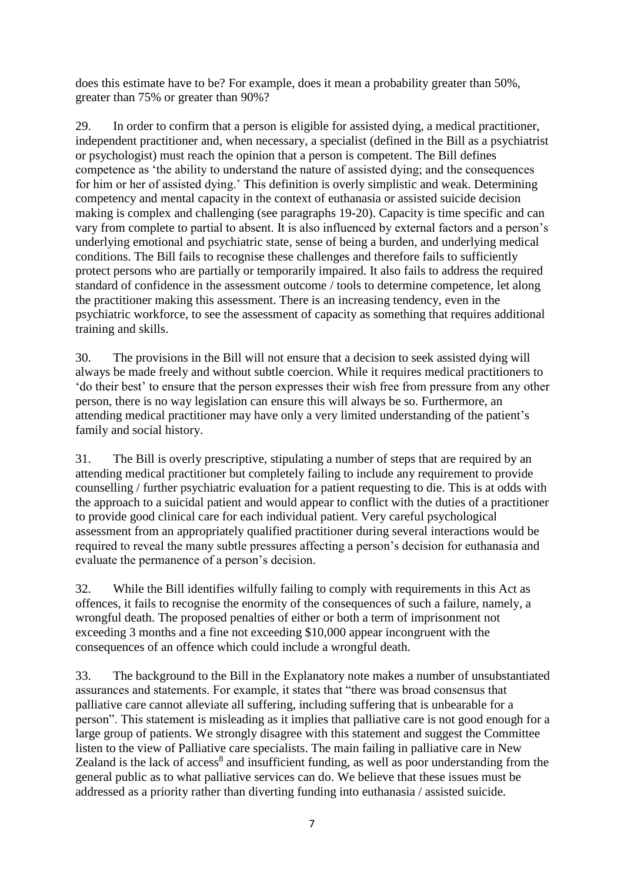does this estimate have to be? For example, does it mean a probability greater than 50%, greater than 75% or greater than 90%?

29. In order to confirm that a person is eligible for assisted dying, a medical practitioner, independent practitioner and, when necessary, a specialist (defined in the Bill as a psychiatrist or psychologist) must reach the opinion that a person is competent. The Bill defines competence as 'the ability to understand the nature of assisted dying; and the consequences for him or her of assisted dying.' This definition is overly simplistic and weak. Determining competency and mental capacity in the context of euthanasia or assisted suicide decision making is complex and challenging (see paragraphs 19-20). Capacity is time specific and can vary from complete to partial to absent. It is also influenced by external factors and a person's underlying emotional and psychiatric state, sense of being a burden, and underlying medical conditions. The Bill fails to recognise these challenges and therefore fails to sufficiently protect persons who are partially or temporarily impaired. It also fails to address the required standard of confidence in the assessment outcome / tools to determine competence, let along the practitioner making this assessment. There is an increasing tendency, even in the psychiatric workforce, to see the assessment of capacity as something that requires additional training and skills.

30. The provisions in the Bill will not ensure that a decision to seek assisted dying will always be made freely and without subtle coercion. While it requires medical practitioners to 'do their best' to ensure that the person expresses their wish free from pressure from any other person, there is no way legislation can ensure this will always be so. Furthermore, an attending medical practitioner may have only a very limited understanding of the patient's family and social history.

31. The Bill is overly prescriptive, stipulating a number of steps that are required by an attending medical practitioner but completely failing to include any requirement to provide counselling / further psychiatric evaluation for a patient requesting to die. This is at odds with the approach to a suicidal patient and would appear to conflict with the duties of a practitioner to provide good clinical care for each individual patient. Very careful psychological assessment from an appropriately qualified practitioner during several interactions would be required to reveal the many subtle pressures affecting a person's decision for euthanasia and evaluate the permanence of a person's decision.

32. While the Bill identifies wilfully failing to comply with requirements in this Act as offences, it fails to recognise the enormity of the consequences of such a failure, namely, a wrongful death. The proposed penalties of either or both a term of imprisonment not exceeding 3 months and a fine not exceeding \$10,000 appear incongruent with the consequences of an offence which could include a wrongful death.

33. The background to the Bill in the Explanatory note makes a number of unsubstantiated assurances and statements. For example, it states that "there was broad consensus that palliative care cannot alleviate all suffering, including suffering that is unbearable for a person". This statement is misleading as it implies that palliative care is not good enough for a large group of patients. We strongly disagree with this statement and suggest the Committee listen to the view of Palliative care specialists. The main failing in palliative care in New Zealand is the lack of access<sup>[8](#page-4-0)</sup> and insufficient funding, as well as poor understanding from the general public as to what palliative services can do. We believe that these issues must be addressed as a priority rather than diverting funding into euthanasia / assisted suicide.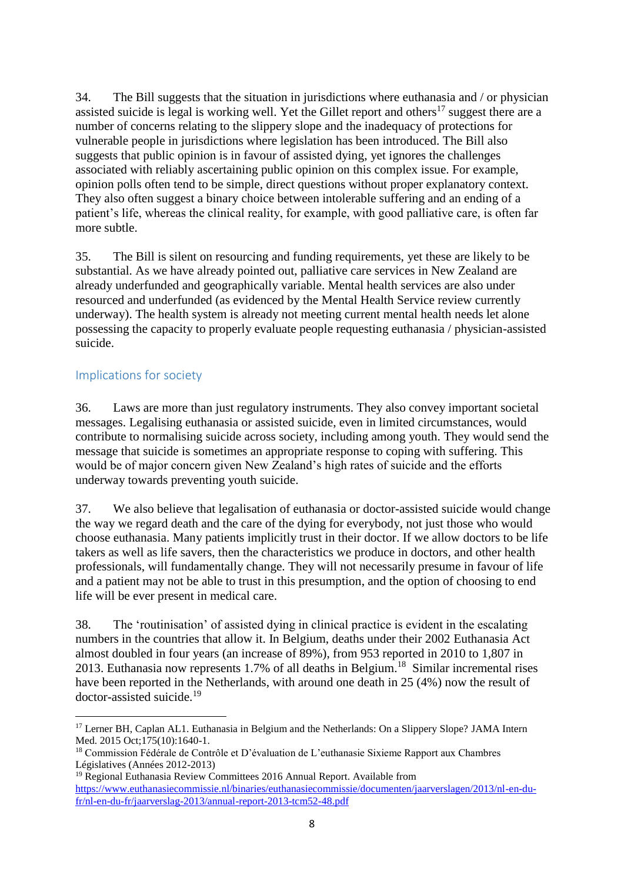34. The Bill suggests that the situation in jurisdictions where euthanasia and / or physician assisted suicide is legal is working well. Yet the Gillet report and others<sup>17</sup> suggest there are a number of concerns relating to the slippery slope and the inadequacy of protections for vulnerable people in jurisdictions where legislation has been introduced. The Bill also suggests that public opinion is in favour of assisted dying, yet ignores the challenges associated with reliably ascertaining public opinion on this complex issue. For example, opinion polls often tend to be simple, direct questions without proper explanatory context. They also often suggest a binary choice between intolerable suffering and an ending of a patient's life, whereas the clinical reality, for example, with good palliative care, is often far more subtle.

35. The Bill is silent on resourcing and funding requirements, yet these are likely to be substantial. As we have already pointed out, palliative care services in New Zealand are already underfunded and geographically variable. Mental health services are also under resourced and underfunded (as evidenced by the Mental Health Service review currently underway). The health system is already not meeting current mental health needs let alone possessing the capacity to properly evaluate people requesting euthanasia / physician-assisted suicide.

#### Implications for society

36. Laws are more than just regulatory instruments. They also convey important societal messages. Legalising euthanasia or assisted suicide, even in limited circumstances, would contribute to normalising suicide across society, including among youth. They would send the message that suicide is sometimes an appropriate response to coping with suffering. This would be of major concern given New Zealand's high rates of suicide and the efforts underway towards preventing youth suicide.

37. We also believe that legalisation of euthanasia or doctor-assisted suicide would change the way we regard death and the care of the dying for everybody, not just those who would choose euthanasia. Many patients implicitly trust in their doctor. If we allow doctors to be life takers as well as life savers, then the characteristics we produce in doctors, and other health professionals, will fundamentally change. They will not necessarily presume in favour of life and a patient may not be able to trust in this presumption, and the option of choosing to end life will be ever present in medical care.

38. The 'routinisation' of assisted dying in clinical practice is evident in the escalating numbers in the countries that allow it. In Belgium, deaths under their 2002 Euthanasia Act almost doubled in four years (an increase of 89%), from 953 reported in 2010 to 1,807 in 2013. Euthanasia now represents  $1.7\%$  of all deaths in Belgium.<sup>18</sup> Similar incremental rises have been reported in the Netherlands, with around one death in 25 (4%) now the result of doctor-assisted suicide.<sup>19</sup>

<sup>19</sup> Regional Euthanasia Review Committees 2016 Annual Report. Available from [https://www.euthanasiecommissie.nl/binaries/euthanasiecommissie/documenten/jaarverslagen/2013/nl-en-du](https://www.euthanasiecommissie.nl/binaries/euthanasiecommissie/documenten/jaarverslagen/2013/nl-en-du-fr/nl-en-du-fr/jaarverslag-2013/annual-report-2013-tcm52-48.pdf)[fr/nl-en-du-fr/jaarverslag-2013/annual-report-2013-tcm52-48.pdf](https://www.euthanasiecommissie.nl/binaries/euthanasiecommissie/documenten/jaarverslagen/2013/nl-en-du-fr/nl-en-du-fr/jaarverslag-2013/annual-report-2013-tcm52-48.pdf)

**<sup>.</sup>** <sup>17</sup> Lerner BH, Caplan AL1. Euthanasia in Belgium and the Netherlands: On a Slippery Slope? JAMA Intern Med. 2015 Oct:175(10):1640-1.

<sup>18</sup> Commission Fédérale de Contrôle et D'évaluation de L'euthanasie Sixieme Rapport aux Chambres Législatives (Années 2012-2013)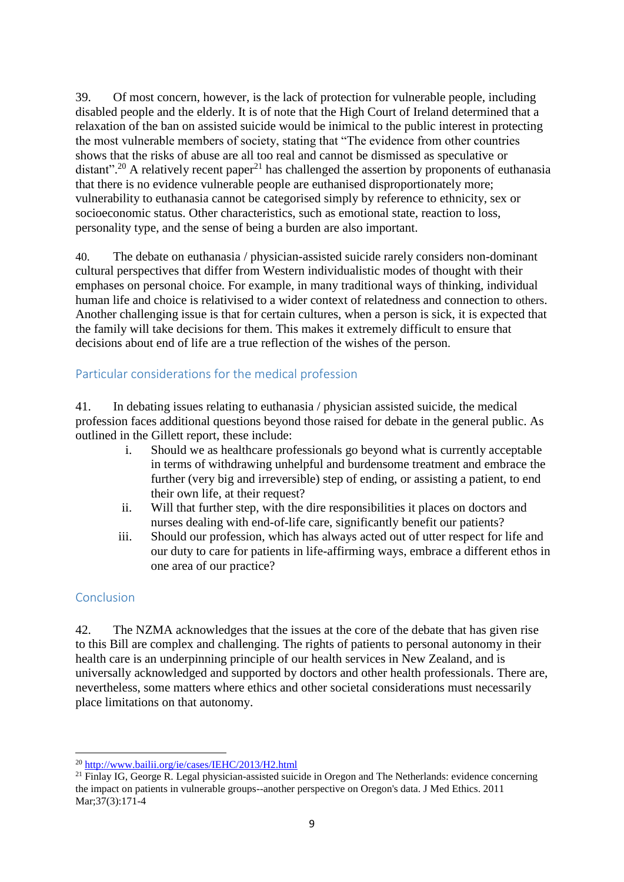39. Of most concern, however, is the lack of protection for vulnerable people, including disabled people and the elderly. It is of note that the High Court of Ireland determined that a relaxation of the ban on assisted suicide would be inimical to the public interest in protecting the most vulnerable members of society, stating that "The evidence from other countries shows that the risks of abuse are all too real and cannot be dismissed as speculative or distant".<sup>20</sup> A relatively recent paper<sup>21</sup> has challenged the assertion by proponents of euthanasia that there is no evidence vulnerable people are euthanised disproportionately more; vulnerability to euthanasia cannot be categorised simply by reference to ethnicity, sex or socioeconomic status. Other characteristics, such as emotional state, reaction to loss, personality type, and the sense of being a burden are also important.

40. The debate on euthanasia / physician-assisted suicide rarely considers non-dominant cultural perspectives that differ from Western individualistic modes of thought with their emphases on personal choice. For example, in many traditional ways of thinking, individual human life and choice is relativised to a wider context of relatedness and connection to others. Another challenging issue is that for certain cultures, when a person is sick, it is expected that the family will take decisions for them. This makes it extremely difficult to ensure that decisions about end of life are a true reflection of the wishes of the person.

## Particular considerations for the medical profession

41. In debating issues relating to euthanasia / physician assisted suicide, the medical profession faces additional questions beyond those raised for debate in the general public. As outlined in the Gillett report, these include:

- i. Should we as healthcare professionals go beyond what is currently acceptable in terms of withdrawing unhelpful and burdensome treatment and embrace the further (very big and irreversible) step of ending, or assisting a patient, to end their own life, at their request?
- ii. Will that further step, with the dire responsibilities it places on doctors and nurses dealing with end-of-life care, significantly benefit our patients?
- iii. Should our profession, which has always acted out of utter respect for life and our duty to care for patients in life-affirming ways, embrace a different ethos in one area of our practice?

## Conclusion

42. The NZMA acknowledges that the issues at the core of the debate that has given rise to this Bill are complex and challenging. The rights of patients to personal autonomy in their health care is an underpinning principle of our health services in New Zealand, and is universally acknowledged and supported by doctors and other health professionals. There are, nevertheless, some matters where ethics and other societal considerations must necessarily place limitations on that autonomy.

**<sup>.</sup>** <sup>20</sup> <http://www.bailii.org/ie/cases/IEHC/2013/H2.html>

 $^{21}$  Finlay IG, George R. Legal physician-assisted suicide in Oregon and The Netherlands: evidence concerning the impact on patients in vulnerable groups--another perspective on Oregon's data. J Med Ethics. 2011 Mar;37(3):171-4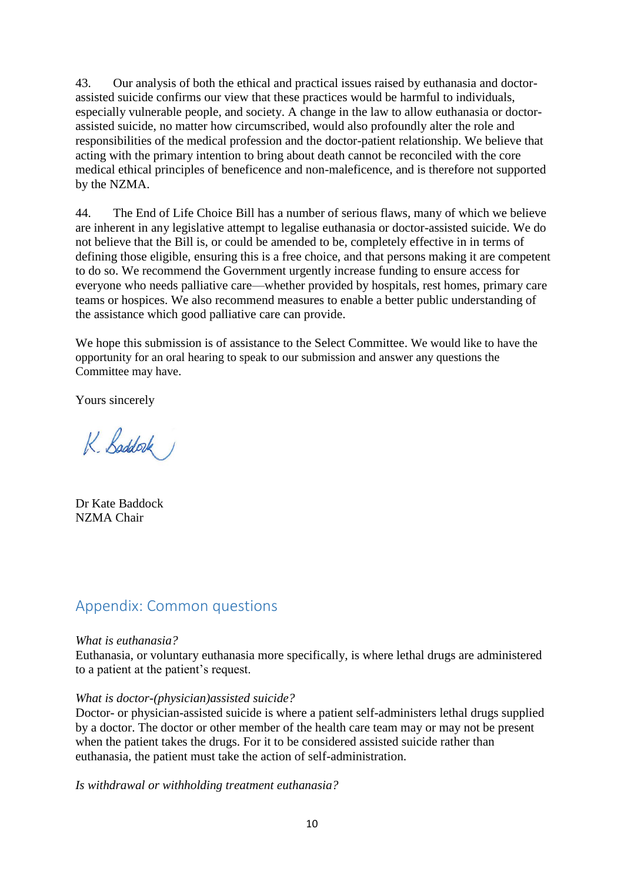43. Our analysis of both the ethical and practical issues raised by euthanasia and doctorassisted suicide confirms our view that these practices would be harmful to individuals, especially vulnerable people, and society. A change in the law to allow euthanasia or doctorassisted suicide, no matter how circumscribed, would also profoundly alter the role and responsibilities of the medical profession and the doctor-patient relationship. We believe that acting with the primary intention to bring about death cannot be reconciled with the core medical ethical principles of beneficence and non-maleficence, and is therefore not supported by the NZMA.

44. The End of Life Choice Bill has a number of serious flaws, many of which we believe are inherent in any legislative attempt to legalise euthanasia or doctor-assisted suicide. We do not believe that the Bill is, or could be amended to be, completely effective in in terms of defining those eligible, ensuring this is a free choice, and that persons making it are competent to do so. We recommend the Government urgently increase funding to ensure access for everyone who needs palliative care—whether provided by hospitals, rest homes, primary care teams or hospices. We also recommend measures to enable a better public understanding of the assistance which good palliative care can provide.

We hope this submission is of assistance to the Select Committee. We would like to have the opportunity for an oral hearing to speak to our submission and answer any questions the Committee may have.

Yours sincerely

K. Baddock

Dr Kate Baddock NZMA Chair

## Appendix: Common questions

#### *What is euthanasia?*

Euthanasia, or voluntary euthanasia more specifically, is where lethal drugs are administered to a patient at the patient's request.

#### *What is doctor-(physician)assisted suicide?*

Doctor- or physician-assisted suicide is where a patient self-administers lethal drugs supplied by a doctor. The doctor or other member of the health care team may or may not be present when the patient takes the drugs. For it to be considered assisted suicide rather than euthanasia, the patient must take the action of self-administration.

*Is withdrawal or withholding treatment euthanasia?*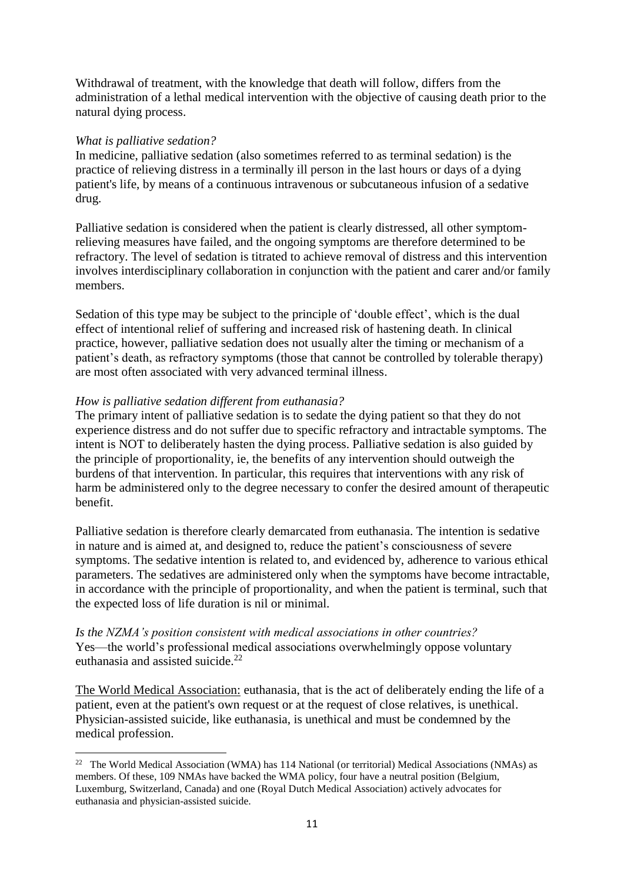Withdrawal of treatment, with the knowledge that death will follow, differs from the administration of a lethal medical intervention with the objective of causing death prior to the natural dying process.

#### *What is palliative sedation?*

In medicine, palliative sedation (also sometimes referred to as terminal sedation) is the practice of relieving distress in a terminally ill person in the last hours or days of a dying patient's life, by means of a continuous intravenous or subcutaneous infusion of a sedative drug.

Palliative sedation is considered when the patient is clearly distressed, all other symptomrelieving measures have failed, and the ongoing symptoms are therefore determined to be refractory. The level of sedation is titrated to achieve removal of distress and this intervention involves interdisciplinary collaboration in conjunction with the patient and carer and/or family members.

Sedation of this type may be subject to the principle of 'double effect', which is the dual effect of intentional relief of suffering and increased risk of hastening death. In clinical practice, however, palliative sedation does not usually alter the timing or mechanism of a patient's death, as refractory symptoms (those that cannot be controlled by tolerable therapy) are most often associated with very advanced terminal illness.

#### *How is palliative sedation different from euthanasia?*

The primary intent of palliative sedation is to sedate the dying patient so that they do not experience distress and do not suffer due to specific refractory and intractable symptoms. The intent is NOT to deliberately hasten the dying process. Palliative sedation is also guided by the principle of proportionality, ie, the benefits of any intervention should outweigh the burdens of that intervention. In particular, this requires that interventions with any risk of harm be administered only to the degree necessary to confer the desired amount of therapeutic benefit.

Palliative sedation is therefore clearly demarcated from euthanasia. The intention is sedative in nature and is aimed at, and designed to, reduce the patient's consciousness of severe symptoms. The sedative intention is related to, and evidenced by, adherence to various ethical parameters. The sedatives are administered only when the symptoms have become intractable, in accordance with the principle of proportionality, and when the patient is terminal, such that the expected loss of life duration is nil or minimal.

#### *Is the NZMA's position consistent with medical associations in other countries?* Yes—the world's professional medical associations overwhelmingly oppose voluntary euthanasia and assisted suicide. $22$

The World Medical Association: euthanasia, that is the act of deliberately ending the life of a patient, even at the patient's own request or at the request of close relatives, is unethical. Physician-assisted suicide, like euthanasia, is unethical and must be condemned by the medical profession.

<sup>&</sup>lt;sup>22</sup> The World Medical Association (WMA) has 114 National (or territorial) Medical Associations (NMAs) as members. Of these, 109 NMAs have backed the WMA policy, four have a neutral position (Belgium, Luxemburg, Switzerland, Canada) and one (Royal Dutch Medical Association) actively advocates for euthanasia and physician-assisted suicide.